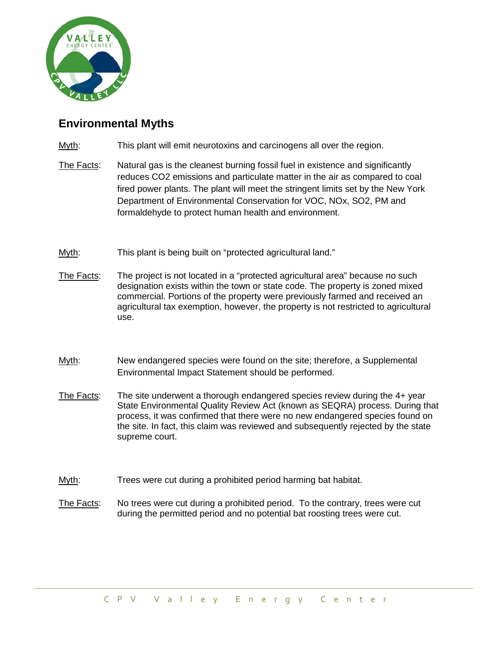

## **Environmental Myths**

- Myth: This plant will emit neurotoxins and carcinogens all over the region.
- The Facts: Natural gas is the cleanest burning fossil fuel in existence and significantly reduces CO2 emissions and particulate matter in the air as compared to coal fired power plants. The plant will meet the stringent limits set by the New York Department of Environmental Conservation for VOC, NOx, SO2, PM and formaldehyde to protect human health and environment.
- Myth: This plant is being built on "protected agricultural land."
- The Facts: The project is not located in a "protected agricultural area" because no such designation exists within the town or state code. The property is zoned mixed commercial. Portions of the property were previously farmed and received an agricultural tax exemption, however, the property is not restricted to agricultural use.
- Myth: New endangered species were found on the site; therefore, a Supplemental Environmental Impact Statement should be performed.
- The Facts: The site underwent a thorough endangered species review during the 4+ year State Environmental Quality Review Act (known as SEQRA) process. During that process, it was confirmed that there were no new endangered species found on the site. In fact, this claim was reviewed and subsequently rejected by the state supreme court.
- Myth: Trees were cut during a prohibited period harming bat habitat.
- The Facts: No trees were cut during a prohibited period. To the contrary, trees were cut during the permitted period and no potential bat roosting trees were cut.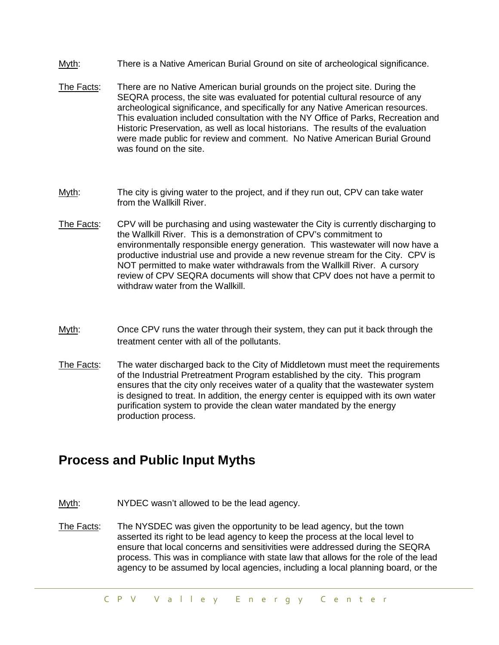- Myth: There is a Native American Burial Ground on site of archeological significance.
- The Facts: There are no Native American burial grounds on the project site. During the SEQRA process, the site was evaluated for potential cultural resource of any archeological significance, and specifically for any Native American resources. This evaluation included consultation with the NY Office of Parks, Recreation and Historic Preservation, as well as local historians. The results of the evaluation were made public for review and comment. No Native American Burial Ground was found on the site.
- Myth: The city is giving water to the project, and if they run out, CPV can take water from the Wallkill River.
- The Facts: CPV will be purchasing and using wastewater the City is currently discharging to the Wallkill River. This is a demonstration of CPV's commitment to environmentally responsible energy generation. This wastewater will now have a productive industrial use and provide a new revenue stream for the City. CPV is NOT permitted to make water withdrawals from the Wallkill River. A cursory review of CPV SEQRA documents will show that CPV does not have a permit to withdraw water from the Wallkill.
- Myth: Once CPV runs the water through their system, they can put it back through the treatment center with all of the pollutants.
- The Facts: The water discharged back to the City of Middletown must meet the requirements of the Industrial Pretreatment Program established by the city. This program ensures that the city only receives water of a quality that the wastewater system is designed to treat. In addition, the energy center is equipped with its own water purification system to provide the clean water mandated by the energy production process.

## **Process and Public Input Myths**

- Myth: NYDEC wasn't allowed to be the lead agency.
- The Facts: The NYSDEC was given the opportunity to be lead agency, but the town asserted its right to be lead agency to keep the process at the local level to ensure that local concerns and sensitivities were addressed during the SEQRA process. This was in compliance with state law that allows for the role of the lead agency to be assumed by local agencies, including a local planning board, or the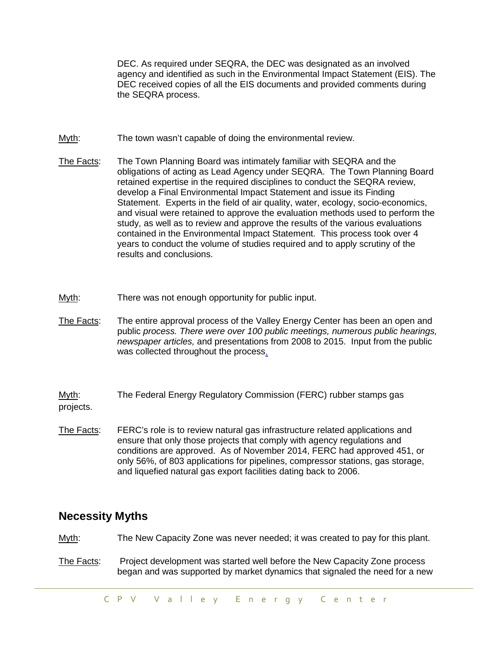DEC. As required under SEQRA, the DEC was designated as an involved agency and identified as such in the Environmental Impact Statement (EIS). The DEC received copies of all the EIS documents and provided comments during the SEQRA process.

- Myth: The town wasn't capable of doing the environmental review.
- The Facts: The Town Planning Board was intimately familiar with SEQRA and the obligations of acting as Lead Agency under SEQRA. The Town Planning Board retained expertise in the required disciplines to conduct the SEQRA review, develop a Final Environmental Impact Statement and issue its Finding Statement. Experts in the field of air quality, water, ecology, socio-economics, and visual were retained to approve the evaluation methods used to perform the study, as well as to review and approve the results of the various evaluations contained in the Environmental Impact Statement. This process took over 4 years to conduct the volume of studies required and to apply scrutiny of the results and conclusions.
- Myth: There was not enough opportunity for public input.
- The Facts: The entire approval process of the Valley Energy Center has been an open and public *process. There were over 100 public meetings, numerous public hearings, newspaper articles,* and presentations from 2008 to 2015. Input from the public was collected throughout the proces[s.](http://cpvvalley.com/history.html)

Myth: The Federal Energy Regulatory Commission (FERC) rubber stamps gas projects.

The Facts: FERC's role is to review natural gas infrastructure related applications and ensure that only those projects that comply with agency regulations and conditions are approved. As of November 2014, FERC had approved 451, or only 56%, of 803 applications for pipelines, compressor stations, gas storage, and liquefied natural gas export facilities dating back to 2006.

## **Necessity Myths**

Myth: The New Capacity Zone was never needed; it was created to pay for this plant.

The Facts: Project development was started well before the New Capacity Zone process began and was supported by market dynamics that signaled the need for a new

CPV Valley Energy Center